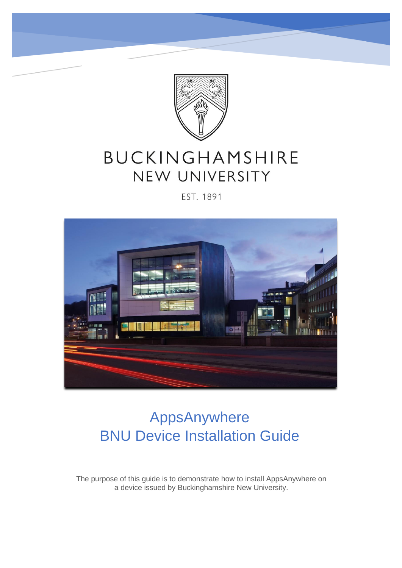

# BUCKINGHAMSHIRE NEW UNIVERSITY

#### EST. 1891



# AppsAnywhere BNU Device Installation Guide

The purpose of this guide is to demonstrate how to install AppsAnywhere on a device issued by Buckinghamshire New University.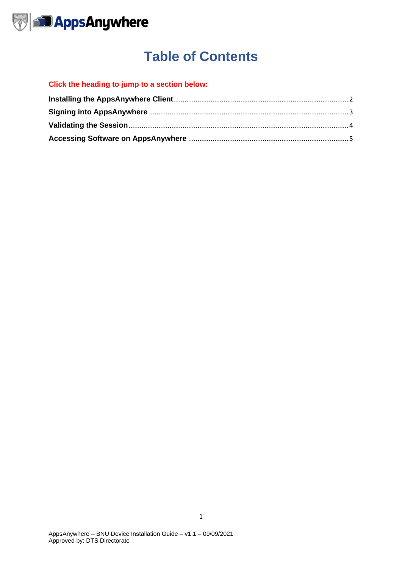

## **Table of Contents**

#### **Click the heading to jump to a section below:**

<span id="page-1-0"></span>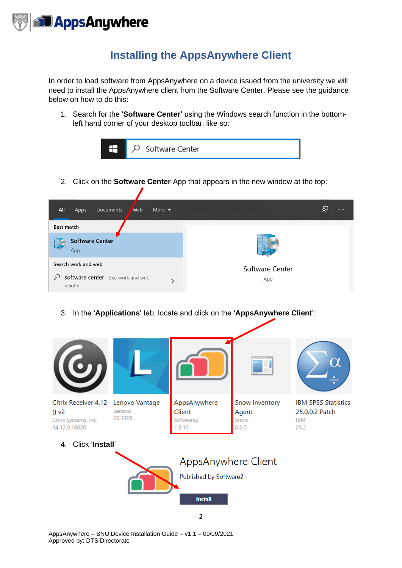

#### **Installing the AppsAnywhere Client**

<span id="page-2-0"></span>In order to load software from AppsAnywhere on a device issued from the university we will need to install the AppsAnywhere client from the Software Center. Please see the guidance below on how to do this:

1. Search for the '**Software Center'** using the Windows search function in the bottomleft hand corner of your desktop toolbar, like so:



2. Click on the **Software Center** App that appears in the new window at the top:

| <b>Web</b><br>All<br>Documents<br>More $\blacktriangledown$<br>Apps | Á۲<br>$\cdots$  |  |  |  |  |
|---------------------------------------------------------------------|-----------------|--|--|--|--|
| Best match                                                          |                 |  |  |  |  |
| <b>Software Center</b><br>App                                       |                 |  |  |  |  |
| Search work and web                                                 | Software Center |  |  |  |  |
| software center - See work and web<br>ρ<br>results                  | App             |  |  |  |  |

3. In the '**Applications**' tab, locate and click on the '**AppsAnywhere Client**':

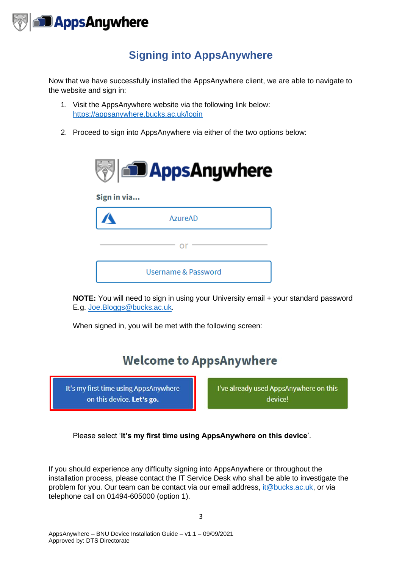

### **Signing into AppsAnywhere**

<span id="page-3-0"></span>Now that we have successfully installed the AppsAnywhere client, we are able to navigate to the website and sign in:

- 1. Visit the AppsAnywhere website via the following link below: <https://appsanywhere.bucks.ac.uk/login>
- 2. Proceed to sign into AppsAnywhere via either of the two options below:



**NOTE:** You will need to sign in using your University email + your standard password E.g. [Joe.Bloggs@bucks.ac.uk.](mailto:Joe.Bloggs@bucks.ac.uk)

When signed in, you will be met with the following screen:

### **Welcome to AppsAnywhere**

It's my first time using AppsAnywhere on this device. Let's go.

I've already used AppsAnywhere on this device!

Please select '**It's my first time using AppsAnywhere on this device**'.

If you should experience any difficulty signing into AppsAnywhere or throughout the installation process, please contact the IT Service Desk who shall be able to investigate the problem for you. Our team can be contact via our email address, it @bucks.ac.uk, or via telephone call on 01494-605000 (option 1).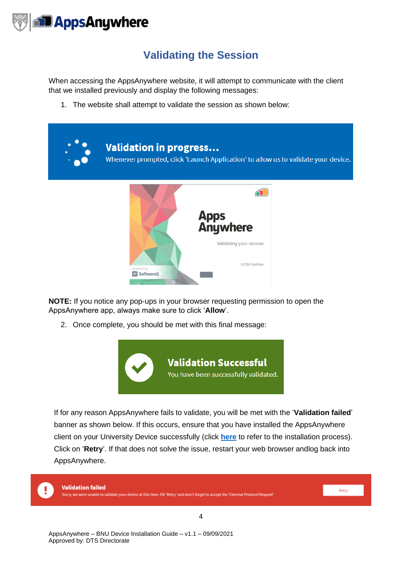

#### **Validating the Session**

<span id="page-4-0"></span>When accessing the AppsAnywhere website, it will attempt to communicate with the client that we installed previously and display the following messages:

1. The website shall attempt to validate the session as shown below:



**NOTE:** If you notice any pop-ups in your browser requesting permission to open the AppsAnywhere app, always make sure to click '**Allow**'.

2. Once complete, you should be met with this final message:



If for any reason AppsAnywhere fails to validate, you will be met with the '**Validation failed**' banner as shown below. If this occurs, ensure that you have installed the AppsAnywhere client on your University Device successfully (click **[here](#page-1-0)** to refer to the installation process). Click on '**Retry**'. If that does not solve the issue, restart your web browser andlog back into AppsAnywhere.



**Validation failed** 

ere unable to validate your device at this time. Hit 'Retry' and don't forget to accept the 'External Protocol Request'

Retry

4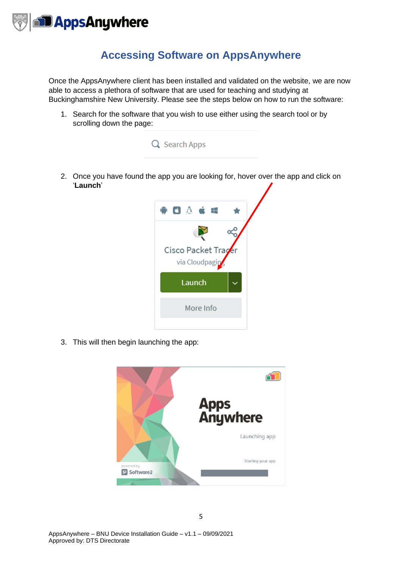

#### **Accessing Software on AppsAnywhere**

<span id="page-5-0"></span>Once the AppsAnywhere client has been installed and validated on the website, we are now able to access a plethora of software that are used for teaching and studying at Buckinghamshire New University. Please see the steps below on how to run the software:

1. Search for the software that you wish to use either using the search tool or by scrolling down the page:



2. Once you have found the app you are looking for, hover over the app and click on '**Launch**'



3. This will then begin launching the app: